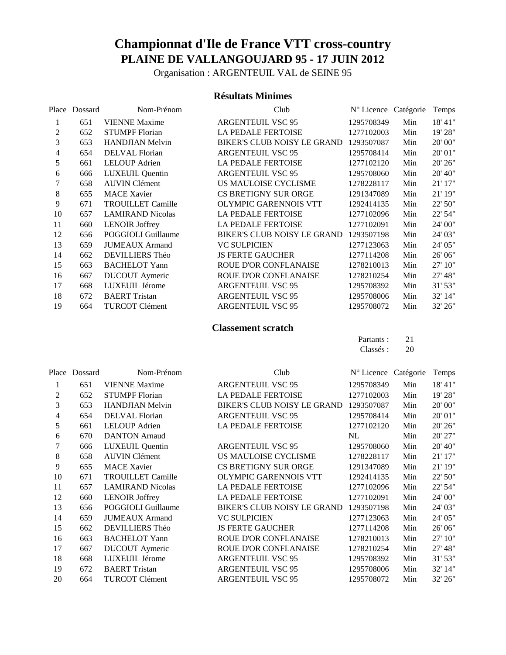Organisation : ARGENTEUIL VAL de SEINE 95

#### **Résultats Minimes**

| Place | Dossard | Nom-Prénom               | Club                               | $N^{\circ}$ Licence | Catégorie | Temps    |
|-------|---------|--------------------------|------------------------------------|---------------------|-----------|----------|
|       | 651     | <b>VIENNE Maxime</b>     | <b>ARGENTEUIL VSC 95</b>           | 1295708349          | Min       | 18' 41"  |
| 2     | 652     | <b>STUMPF Florian</b>    | <b>LA PEDALE FERTOISE</b>          | 1277102003          | Min       | 19' 28"  |
| 3     | 653     | <b>HANDJIAN</b> Melvin   | BIKER'S CLUB NOISY LE GRAND        | 1293507087          | Min       | 20'00"   |
| 4     | 654     | DELVAL Florian           | <b>ARGENTEUIL VSC 95</b>           | 1295708414          | Min       | 20' 01"  |
| 5     | 661     | <b>LELOUP</b> Adrien     | LA PEDALE FERTOISE                 | 1277102120          | Min       | 20' 26"  |
| 6     | 666     | <b>LUXEUIL Quentin</b>   | <b>ARGENTEUIL VSC 95</b>           | 1295708060          | Min       | 20' 40'' |
| 7     | 658     | <b>AUVIN Clément</b>     | US MAULOISE CYCLISME               | 1278228117          | Min       | 21' 17"  |
| 8     | 655     | <b>MACE Xavier</b>       | CS BRETIGNY SUR ORGE               | 1291347089          | Min       | 21' 19"  |
| 9     | 671     | <b>TROUILLET Camille</b> | <b>OLYMPIC GARENNOIS VTT</b>       | 1292414135          | Min       | 22' 50"  |
| 10    | 657     | <b>LAMIRAND Nicolas</b>  | <b>LA PEDALE FERTOISE</b>          | 1277102096          | Min       | 22' 54"  |
| 11    | 660     | <b>LENOIR Joffrey</b>    | <b>LA PEDALE FERTOISE</b>          | 1277102091          | Min       | 24' 00"  |
| 12    | 656     | POGGIOLI Guillaume       | <b>BIKER'S CLUB NOISY LE GRAND</b> | 1293507198          | Min       | 24' 03"  |
| 13    | 659     | <b>JUMEAUX</b> Armand    | <b>VC SULPICIEN</b>                | 1277123063          | Min       | 24' 05"  |
| 14    | 662     | <b>DEVILLIERS Théo</b>   | <b>JS FERTE GAUCHER</b>            | 1277114208          | Min       | 26' 06"  |
| 15    | 663     | <b>BACHELOT Yann</b>     | ROUE D'OR CONFLANAISE              | 1278210013          | Min       | 27' 10"  |
| 16    | 667     | <b>DUCOUT</b> Aymeric    | ROUE D'OR CONFLANAISE              | 1278210254          | Min       | 27' 48"  |
| 17    | 668     | LUXEUIL Jérome           | <b>ARGENTEUIL VSC 95</b>           | 1295708392          | Min       | 31' 53"  |
| 18    | 672     | <b>BAERT</b> Tristan     | <b>ARGENTEUIL VSC 95</b>           | 1295708006          | Min       | 32' 14"  |
| 19    | 664     | <b>TURCOT Clément</b>    | <b>ARGENTEUIL VSC 95</b>           | 1295708072          | Min       | 32' 26"  |

### **Classement scratch**

| Partants: | 21 |
|-----------|----|
| Classés:  | 20 |

| Place | Dossard | Nom-Prénom               | Club                         | Nº Licence Catégorie |     | Temps   |
|-------|---------|--------------------------|------------------------------|----------------------|-----|---------|
| 1     | 651     | <b>VIENNE Maxime</b>     | <b>ARGENTEUIL VSC 95</b>     | 1295708349           | Min | 18' 41" |
| 2     | 652     | <b>STUMPF Florian</b>    | <b>LA PEDALE FERTOISE</b>    | 1277102003           | Min | 19' 28" |
| 3     | 653     | <b>HANDJIAN Melvin</b>   | BIKER'S CLUB NOISY LE GRAND  | 1293507087           | Min | 20'00"  |
| 4     | 654     | DELVAL Florian           | <b>ARGENTEUIL VSC 95</b>     | 1295708414           | Min | 20' 01" |
| 5     | 661     | <b>LELOUP</b> Adrien     | LA PEDALE FERTOISE           | 1277102120           | Min | 20' 26" |
| 6     | 670     | <b>DANTON</b> Arnaud     |                              | NL                   | Min | 20' 27" |
| 7     | 666     | <b>LUXEUIL Quentin</b>   | <b>ARGENTEUIL VSC 95</b>     | 1295708060           | Min | 20' 40" |
| 8     | 658     | <b>AUVIN Clément</b>     | US MAULOISE CYCLISME         | 1278228117           | Min | 21' 17" |
| 9     | 655     | <b>MACE Xavier</b>       | <b>CS BRETIGNY SUR ORGE</b>  | 1291347089           | Min | 21' 19" |
| 10    | 671     | <b>TROUILLET Camille</b> | <b>OLYMPIC GARENNOIS VTT</b> | 1292414135           | Min | 22' 50" |
| 11    | 657     | <b>LAMIRAND Nicolas</b>  | LA PEDALE FERTOISE           | 1277102096           | Min | 22' 54" |
| 12    | 660     | <b>LENOIR Joffrey</b>    | <b>LA PEDALE FERTOISE</b>    | 1277102091           | Min | 24' 00" |
| 13    | 656     | POGGIOLI Guillaume       | BIKER'S CLUB NOISY LE GRAND  | 1293507198           | Min | 24' 03" |
| 14    | 659     | <b>JUMEAUX</b> Armand    | <b>VC SULPICIEN</b>          | 1277123063           | Min | 24' 05" |
| 15    | 662     | DEVILLIERS Théo          | <b>JS FERTE GAUCHER</b>      | 1277114208           | Min | 26' 06" |
| 16    | 663     | <b>BACHELOT Yann</b>     | <b>ROUE D'OR CONFLANAISE</b> | 1278210013           | Min | 27' 10" |
| 17    | 667     | <b>DUCOUT</b> Aymeric    | ROUE D'OR CONFLANAISE        | 1278210254           | Min | 27' 48" |
| 18    | 668     | LUXEUIL Jérome           | <b>ARGENTEUIL VSC 95</b>     | 1295708392           | Min | 31' 53" |
| 19    | 672     | <b>BAERT</b> Tristan     | <b>ARGENTEUIL VSC 95</b>     | 1295708006           | Min | 32' 14" |
| 20    | 664     | <b>TURCOT Clément</b>    | <b>ARGENTEUIL VSC 95</b>     | 1295708072           | Min | 32' 26" |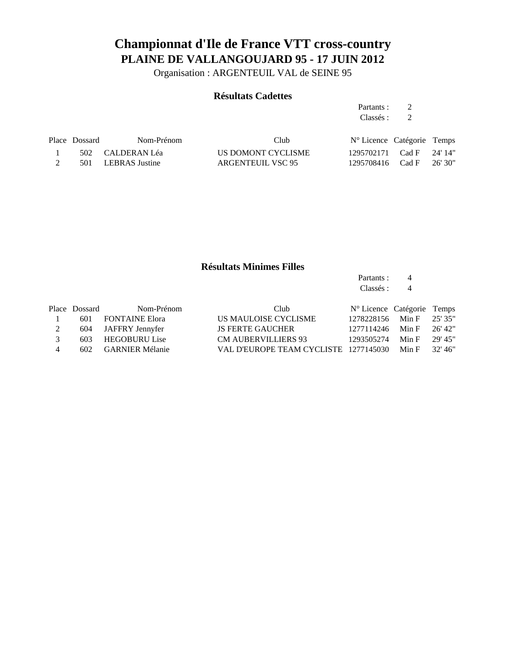Organisation : ARGENTEUIL VAL de SEINE 95

#### **Résultats Cadettes**

Partants : 2 Classés : 2

| Place Dossard | Nom-Prénom         | Club               | $N^{\circ}$ Licence Catégorie Temps |  |
|---------------|--------------------|--------------------|-------------------------------------|--|
|               | 502 CALDERAN Léa   | US DOMONT CYCLISME | 1295702171 Cad F 24'14"             |  |
|               | 501 LEBRAS Justine | ARGENTEUIL VSC 95  | 1295708416 Cad F 26'30"             |  |

### **Résultats Minimes Filles**

Partants : 4 Classés : 4

| Place Dossard | Nom-Prénom | Club                                                                                  |  |                                                                                                                                                        |
|---------------|------------|---------------------------------------------------------------------------------------|--|--------------------------------------------------------------------------------------------------------------------------------------------------------|
|               |            | US MAULOISE CYCLISME                                                                  |  |                                                                                                                                                        |
|               |            | <b>JS FERTE GAUCHER</b>                                                               |  | 26' 42"                                                                                                                                                |
|               |            | <b>CM AUBERVILLIERS 93</b>                                                            |  | - 29' 45"                                                                                                                                              |
|               |            |                                                                                       |  | - 32' 46"                                                                                                                                              |
|               |            | 601 FONTAINE Elora<br>604 JAFFRY Jennyfer<br>603 HEGOBURU Lise<br>602 GARNIER Mélanie |  | $N^{\circ}$ Licence Catégorie Temps<br>1278228156 Min F 25' 35"<br>1277114246 Min F<br>1293505274 Min F<br>VAL D'EUROPE TEAM CYCLISTE 1277145030 Min F |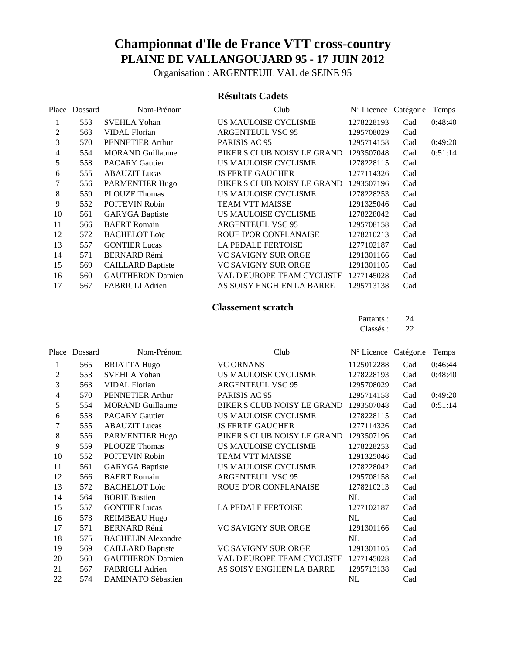Organisation : ARGENTEUIL VAL de SEINE 95

### **Résultats Cadets**

| Place          | Dossard | Nom-Prénom               | Club                         | N° Licence Catégorie |     | Temps   |
|----------------|---------|--------------------------|------------------------------|----------------------|-----|---------|
|                | 553     | <b>SVEHLA Yohan</b>      | US MAULOISE CYCLISME         | 1278228193           | Cad | 0:48:40 |
| 2              | 563     | <b>VIDAL Florian</b>     | <b>ARGENTEUIL VSC 95</b>     | 1295708029           | Cad |         |
| 3              | 570     | PENNETIER Arthur         | PARISIS AC 95                | 1295714158           | Cad | 0:49:20 |
| $\overline{4}$ | 554     | <b>MORAND Guillaume</b>  | BIKER'S CLUB NOISY LE GRAND  | 1293507048           | Cad | 0:51:14 |
| 5              | 558     | <b>PACARY Gautier</b>    | US MAULOISE CYCLISME         | 1278228115           | Cad |         |
| 6              | 555     | <b>ABAUZIT</b> Lucas     | <b>JS FERTE GAUCHER</b>      | 1277114326           | Cad |         |
|                | 556     | <b>PARMENTIER Hugo</b>   | BIKER'S CLUB NOISY LE GRAND  | 1293507196           | Cad |         |
| 8              | 559     | <b>PLOUZE Thomas</b>     | US MAULOISE CYCLISME         | 1278228253           | Cad |         |
| 9              | 552     | <b>POITEVIN Robin</b>    | <b>TEAM VTT MAISSE</b>       | 1291325046           | Cad |         |
| 10             | 561     | <b>GARYGA Baptiste</b>   | US MAULOISE CYCLISME         | 1278228042           | Cad |         |
| 11             | 566     | <b>BAERT</b> Romain      | <b>ARGENTEUIL VSC 95</b>     | 1295708158           | Cad |         |
| 12             | 572     | <b>BACHELOT Loïc</b>     | <b>ROUE D'OR CONFLANAISE</b> | 1278210213           | Cad |         |
| 13             | 557     | <b>GONTIER Lucas</b>     | <b>LA PEDALE FERTOISE</b>    | 1277102187           | Cad |         |
| 14             | 571     | <b>BERNARD Rémi</b>      | <b>VC SAVIGNY SUR ORGE</b>   | 1291301166           | Cad |         |
| 15             | 569     | <b>CAILLARD Baptiste</b> | <b>VC SAVIGNY SUR ORGE</b>   | 1291301105           | Cad |         |
| 16             | 560     | <b>GAUTHERON Damien</b>  | VAL D'EUROPE TEAM CYCLISTE   | 1277145028           | Cad |         |
| 17             | 567     | <b>FABRIGLI Adrien</b>   | AS SOISY ENGHIEN LA BARRE    | 1295713138           | Cad |         |

#### **Classement scratch**

| Partants : | 24 |
|------------|----|
| Classés :  | 22 |

| Place          | Dossard | Nom-Prénom                | Club                         | N° Licence Catégorie |     | Temps   |
|----------------|---------|---------------------------|------------------------------|----------------------|-----|---------|
| 1              | 565     | <b>BRIATTA Hugo</b>       | <b>VC ORNANS</b>             | 1125012288           | Cad | 0:46:44 |
| 2              | 553     | <b>SVEHLA Yohan</b>       | US MAULOISE CYCLISME         | 1278228193           | Cad | 0:48:40 |
| 3              | 563     | <b>VIDAL Florian</b>      | <b>ARGENTEUIL VSC 95</b>     | 1295708029           | Cad |         |
| $\overline{4}$ | 570     | PENNETIER Arthur          | PARISIS AC 95                | 1295714158           | Cad | 0:49:20 |
| 5              | 554     | <b>MORAND Guillaume</b>   | BIKER'S CLUB NOISY LE GRAND  | 1293507048           | Cad | 0:51:14 |
| 6              | 558     | <b>PACARY Gautier</b>     | US MAULOISE CYCLISME         | 1278228115           | Cad |         |
| 7              | 555     | <b>ABAUZIT Lucas</b>      | <b>JS FERTE GAUCHER</b>      | 1277114326           | Cad |         |
| 8              | 556     | PARMENTIER Hugo           | BIKER'S CLUB NOISY LE GRAND  | 1293507196           | Cad |         |
| 9              | 559     | <b>PLOUZE Thomas</b>      | US MAULOISE CYCLISME         | 1278228253           | Cad |         |
| 10             | 552     | POITEVIN Robin            | TEAM VTT MAISSE              | 1291325046           | Cad |         |
| 11             | 561     | <b>GARYGA</b> Baptiste    | US MAULOISE CYCLISME         | 1278228042           | Cad |         |
| 12             | 566     | <b>BAERT</b> Romain       | <b>ARGENTEUIL VSC 95</b>     | 1295708158           | Cad |         |
| 13             | 572     | <b>BACHELOT Loïc</b>      | <b>ROUE D'OR CONFLANAISE</b> | 1278210213           | Cad |         |
| 14             | 564     | <b>BORIE Bastien</b>      |                              | NL                   | Cad |         |
| 15             | 557     | <b>GONTIER Lucas</b>      | LA PEDALE FERTOISE           | 1277102187           | Cad |         |
| 16             | 573     | <b>REIMBEAU Hugo</b>      |                              | NL                   | Cad |         |
| 17             | 571     | <b>BERNARD Rémi</b>       | <b>VC SAVIGNY SUR ORGE</b>   | 1291301166           | Cad |         |
| 18             | 575     | <b>BACHELIN Alexandre</b> |                              | NL                   | Cad |         |
| 19             | 569     | <b>CAILLARD Baptiste</b>  | <b>VC SAVIGNY SUR ORGE</b>   | 1291301105           | Cad |         |
| 20             | 560     | <b>GAUTHERON Damien</b>   | VAL D'EUROPE TEAM CYCLISTE   | 1277145028           | Cad |         |
| 21             | 567     | FABRIGLI Adrien           | AS SOISY ENGHIEN LA BARRE    | 1295713138           | Cad |         |
| 22             | 574     | <b>DAMINATO Sébastien</b> |                              | NL                   | Cad |         |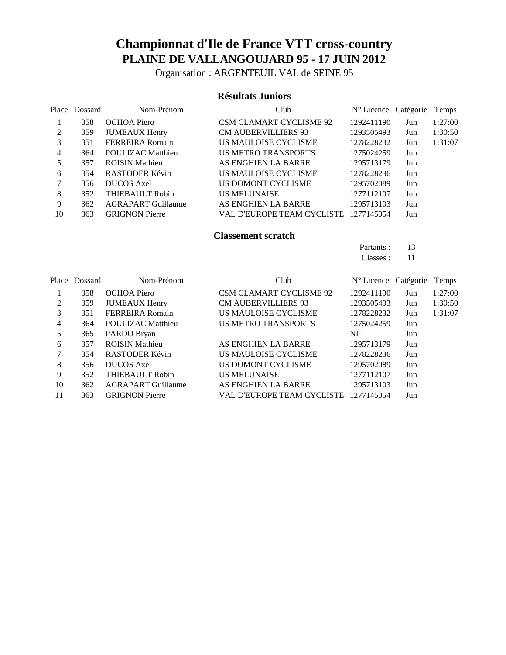Organisation : ARGENTEUIL VAL de SEINE 95

#### **Résultats Juniors**

|    | Place Dossard | Nom-Prénom                | Club                           | N° Licence Catégorie |     | Temps   |
|----|---------------|---------------------------|--------------------------------|----------------------|-----|---------|
|    | 358           | OCHOA Piero               | <b>CSM CLAMART CYCLISME 92</b> | 1292411190           | Jun | 1:27:00 |
| 2  | 359           | <b>JUMEAUX Henry</b>      | <b>CM AUBERVILLIERS 93</b>     | 1293505493           | Jun | 1:30:50 |
| 3  | 351           | <b>FERREIRA Romain</b>    | US MAULOISE CYCLISME           | 1278228232           | Jun | 1:31:07 |
| 4  | 364           | <b>POULIZAC Matthieu</b>  | <b>US METRO TRANSPORTS</b>     | 1275024259           | Jun |         |
| 5  | 357           | <b>ROISIN Mathieu</b>     | AS ENGHIEN LA BARRE            | 1295713179           | Jun |         |
| 6  | 354           | RASTODER Kévin            | US MAULOISE CYCLISME           | 1278228236           | Jun |         |
|    | 356           | <b>DUCOS</b> Axel         | US DOMONT CYCLISME             | 1295702089           | Jun |         |
| 8  | 352           | <b>THIEBAULT Robin</b>    | <b>US MELUNAISE</b>            | 1277112107           | Jun |         |
| 9  | 362           | <b>AGRAPART Guillaume</b> | AS ENGHIEN LA BARRE            | 1295713103           | Jun |         |
| 10 | 363           | <b>GRIGNON Pierre</b>     | VAL D'EUROPE TEAM CYCLISTE     | 1277145054           | Jun |         |

#### **Classement scratch**

| Partants : | 13 |
|------------|----|
| Classés :  | 11 |

|    | Place Dossard | Nom-Prénom                | Club                           | $N^{\circ}$ Licence Catégorie |     | Temps   |
|----|---------------|---------------------------|--------------------------------|-------------------------------|-----|---------|
|    | 358           | <b>OCHOA Piero</b>        | <b>CSM CLAMART CYCLISME 92</b> | 1292411190                    | Jun | 1:27:00 |
| 2  | 359           | <b>JUMEAUX Henry</b>      | <b>CM AUBERVILLIERS 93</b>     | 1293505493                    | Jun | 1:30:50 |
| 3  | 351           | <b>FERREIRA Romain</b>    | US MAULOISE CYCLISME           | 1278228232                    | Jun | 1:31:07 |
| 4  | 364           | <b>POULIZAC Matthieu</b>  | <b>US METRO TRANSPORTS</b>     | 1275024259                    | Jun |         |
| 5  | 365           | PARDO Bryan               |                                | NL.                           | Jun |         |
| 6  | 357           | <b>ROISIN Mathieu</b>     | AS ENGHIEN LA BARRE            | 1295713179                    | Jun |         |
|    | 354           | RASTODER Kévin            | US MAULOISE CYCLISME           | 1278228236                    | Jun |         |
| 8  | 356           | <b>DUCOS</b> Axel         | US DOMONT CYCLISME             | 1295702089                    | Jun |         |
| 9  | 352           | <b>THIEBAULT Robin</b>    | <b>US MELUNAISE</b>            | 1277112107                    | Jun |         |
| 10 | 362           | <b>AGRAPART Guillaume</b> | AS ENGHIEN LA BARRE            | 1295713103                    | Jun |         |
| 11 | 363           | <b>GRIGNON Pierre</b>     | VAL D'EUROPE TEAM CYCLISTE     | 1277145054                    | Jun |         |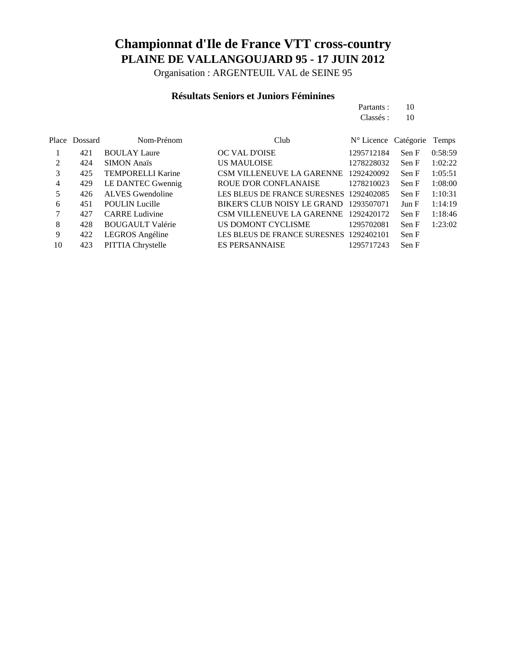Organisation : ARGENTEUIL VAL de SEINE 95

### **Résultats Seniors et Juniors Féminines**

| Partants : | 10 |
|------------|----|
| Classés :  | 10 |

|                | Place Dossard | Nom-Prénom               | Club                                    | $N^{\circ}$ Licence Catégorie |       | Temps   |
|----------------|---------------|--------------------------|-----------------------------------------|-------------------------------|-------|---------|
|                | 421           | <b>BOULAY Laure</b>      | OC VAL D'OISE                           | 1295712184                    | Sen F | 0:58:59 |
| $\mathfrak{D}$ | 424           | <b>SIMON</b> Anaïs       | <b>US MAULOISE</b>                      | 1278228032                    | Sen F | 1:02:22 |
| 3              | 425           | <b>TEMPORELLI Karine</b> | CSM VILLENEUVE LA GARENNE               | 1292420092                    | Sen F | 1:05:51 |
| 4              | 429           | LE DANTEC Gwennig        | <b>ROUE D'OR CONFLANAISE</b>            | 1278210023                    | Sen F | 1:08:00 |
| 5              | 426           | <b>ALVES</b> Gwendoline  | LES BLEUS DE FRANCE SURESNES 1292402085 |                               | Sen F | 1:10:31 |
| 6              | 451           | <b>POULIN</b> Lucille    | BIKER'S CLUB NOISY LE GRAND 1293507071  |                               | Jun F | 1:14:19 |
| 7              | 427           | <b>CARRE</b> Ludivine    | CSM VILLENEUVE LA GARENNE 1292420172    |                               | Sen F | 1:18:46 |
| 8              | 428           | <b>BOUGAULT Valérie</b>  | US DOMONT CYCLISME                      | 1295702081                    | Sen F | 1:23:02 |
| 9              | 422           | LEGROS Angéline          | LES BLEUS DE FRANCE SURESNES 1292402101 |                               | Sen F |         |
| 10             | 423           | <b>PITTIA Chrystelle</b> | <b>ES PERSANNAISE</b>                   | 1295717243                    | Sen F |         |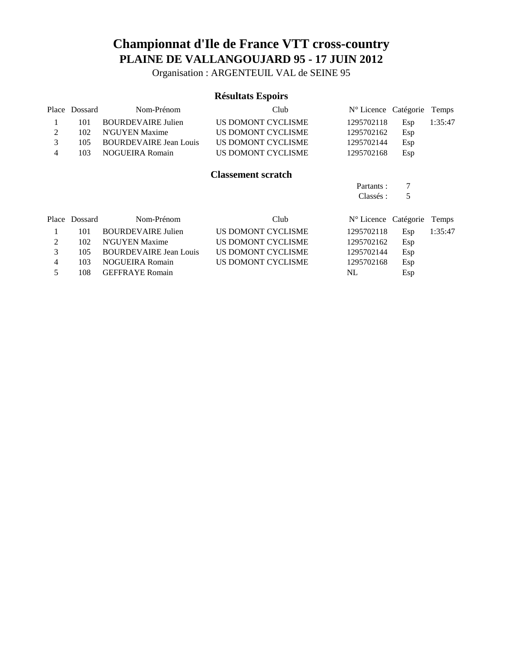Organisation : ARGENTEUIL VAL de SEINE 95

### **Résultats Espoirs**

|   | Place Dossard | Nom-Prénom                    | Club                      | $N^{\circ}$ Licence Catégorie |     | Temps   |
|---|---------------|-------------------------------|---------------------------|-------------------------------|-----|---------|
|   | 101           | <b>BOURDEVAIRE Julien</b>     | US DOMONT CYCLISME        | 1295702118                    | Esp | 1:35:47 |
| 2 | 102           | N'GUYEN Maxime                | US DOMONT CYCLISME        | 1295702162                    | Esp |         |
| 3 | 105           | <b>BOURDEVAIRE Jean Louis</b> | <b>US DOMONT CYCLISME</b> | 1295702144                    | Esp |         |
| 4 | 103           | <b>NOGUEIRA Romain</b>        | US DOMONT CYCLISME        | 1295702168                    | Esp |         |
|   |               |                               | <b>Classement scratch</b> |                               |     |         |
|   |               |                               |                           | Partants:                     |     |         |
|   |               |                               |                           | Classés :                     | 5   |         |
|   | Place Dossard | Nom-Prénom                    | Club                      | N° Licence Catégorie          |     | Temps   |
|   | 101           | <b>BOURDEVAIRE Julien</b>     | US DOMONT CYCLISME        | 1295702118                    | Esp | 1:35:47 |

|               | 102 N'GUYEN Maxime         | US DOMONT CYCLISME | 1295702162 | Esp |
|---------------|----------------------------|--------------------|------------|-----|
| $\mathcal{E}$ | 105 BOURDEVAIRE Jean Louis | US DOMONT CYCLISME | 1295702144 | Esp |
| $\Delta$      | 103 NOGUEIRA Romain        | US DOMONT CYCLISME | 1295702168 | Esp |
| -5.           | 108 GEFFRAYE Romain        |                    | NL.        | Esp |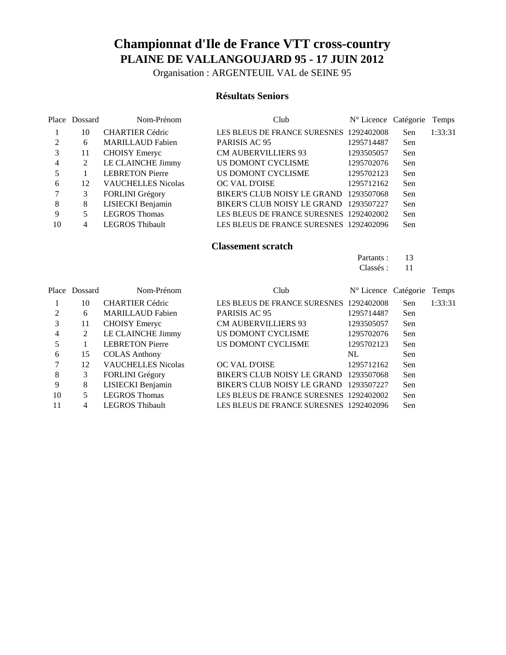Organisation : ARGENTEUIL VAL de SEINE 95

#### **Résultats Seniors**

|               | Place Dossard | Nom-Prénom                | Club                                    | N° Licence Catégorie |     | <b>Temps</b> |
|---------------|---------------|---------------------------|-----------------------------------------|----------------------|-----|--------------|
|               | 10            | <b>CHARTIER Cédric</b>    | LES BLEUS DE FRANCE SURESNES 1292402008 |                      | Sen | 1:33:31      |
| $\mathcal{L}$ | 6             | <b>MARILLAUD Fabien</b>   | PARISIS AC 95                           | 1295714487           | Sen |              |
| 3             | 11            | <b>CHOISY</b> Emeryc      | <b>CM AUBERVILLIERS 93</b>              | 1293505057           | Sen |              |
| 4             |               | LE CLAINCHE Jimmy         | US DOMONT CYCLISME                      | 1295702076           | Sen |              |
|               |               | <b>LEBRETON Pierre</b>    | US DOMONT CYCLISME                      | 1295702123           | Sen |              |
| 6             | 12            | <b>VAUCHELLES Nicolas</b> | <b>OC VAL D'OISE</b>                    | 1295712162           | Sen |              |
|               | 3             | <b>FORLINI</b> Grégory    | BIKER'S CLUB NOISY LE GRAND 1293507068  |                      | Sen |              |
| 8             | 8             | LISIECKI Benjamin         | BIKER'S CLUB NOISY LE GRAND 1293507227  |                      | Sen |              |
| 9             |               | <b>LEGROS Thomas</b>      | LES BLEUS DE FRANCE SURESNES 1292402002 |                      | Sen |              |
| 10            |               | <b>LEGROS Thibault</b>    | LES BLEUS DE FRANCE SURESNES 1292402096 |                      | Sen |              |

#### **Classement scratch**

Partants : 13 Classés : 11

|    | Place Dossard | Nom-Prénom                | Club                                    | $N^{\circ}$ Licence Catégorie |     | Temps   |
|----|---------------|---------------------------|-----------------------------------------|-------------------------------|-----|---------|
|    | 10            | <b>CHARTIER Cédric</b>    | LES BLEUS DE FRANCE SURESNES 1292402008 |                               | Sen | 1:33:31 |
|    | 6             | <b>MARILLAUD Fabien</b>   | PARISIS AC 95                           | 1295714487                    | Sen |         |
| 3  | 11            | <b>CHOISY</b> Emeryc      | <b>CM AUBERVILLIERS 93</b>              | 1293505057                    | Sen |         |
| 4  | 2             | LE CLAINCHE Jimmy         | US DOMONT CYCLISME                      | 1295702076                    | Sen |         |
| 5  |               | <b>LEBRETON Pierre</b>    | US DOMONT CYCLISME                      | 1295702123                    | Sen |         |
| 6  | 15            | <b>COLAS Anthony</b>      |                                         | NL                            | Sen |         |
|    | 12            | <b>VAUCHELLES Nicolas</b> | OC VAL D'OISE                           | 1295712162                    | Sen |         |
| 8  | 3             | FORLINI Grégory           | BIKER'S CLUB NOISY LE GRAND             | 1293507068                    | Sen |         |
| 9  | 8             | LISIECKI Benjamin         | BIKER'S CLUB NOISY LE GRAND             | 1293507227                    | Sen |         |
| 10 | 5             | <b>LEGROS Thomas</b>      | LES BLEUS DE FRANCE SURESNES 1292402002 |                               | Sen |         |
| 11 | 4             | <b>LEGROS Thibault</b>    | LES BLEUS DE FRANCE SURESNES 1292402096 |                               | Sen |         |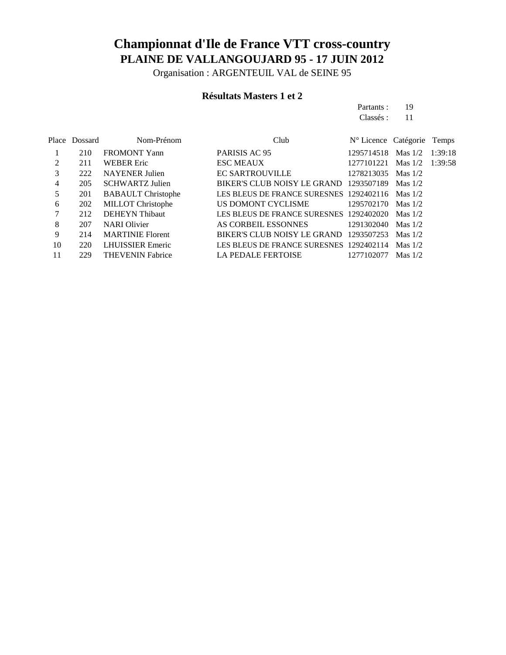Organisation : ARGENTEUIL VAL de SEINE 95

### **Résultats Masters 1 et 2**

Partants : 19 Classés : 11

|    | Place Dossard | Nom-Prénom                | Club                                    | N° Licence Catégorie |           | Temps   |
|----|---------------|---------------------------|-----------------------------------------|----------------------|-----------|---------|
|    | 210           | <b>FROMONT Yann</b>       | PARISIS AC 95                           | 1295714518 Mas 1/2   |           | 1:39:18 |
| 2  | 211           | <b>WEBER Eric</b>         | <b>ESC MEAUX</b>                        | 1277101221           | Mas $1/2$ | 1:39:58 |
| 3  | 222           | <b>NAYENER</b> Julien     | <b>EC SARTROUVILLE</b>                  | 1278213035 Mas 1/2   |           |         |
| 4  | 205           | <b>SCHWARTZ Julien</b>    | BIKER'S CLUB NOISY LE GRAND 1293507189  |                      | Mas $1/2$ |         |
| 5  | 201           | <b>BABAULT</b> Christophe | LES BLEUS DE FRANCE SURESNES 1292402116 |                      | Mas $1/2$ |         |
| 6  | 202           | <b>MILLOT</b> Christophe  | US DOMONT CYCLISME                      | 1295702170           | Mas $1/2$ |         |
|    | 212           | <b>DEHEYN</b> Thibaut     | LES BLEUS DE FRANCE SURESNES 1292402020 |                      | Mas $1/2$ |         |
| 8  | 207           | <b>NARI</b> Olivier       | AS CORBEIL ESSONNES                     | 1291302040           | Mas $1/2$ |         |
| 9  | 214           | <b>MARTINIE Florent</b>   | BIKER'S CLUB NOISY LE GRAND 1293507253  |                      | Mas $1/2$ |         |
| 10 | 220           | <b>LHUISSIER Emeric</b>   | LES BLEUS DE FRANCE SURESNES 1292402114 |                      | Mas $1/2$ |         |
| 11 | 229           | <b>THEVENIN Fabrice</b>   | LA PEDALE FERTOISE                      | 1277102077           | Mas $1/2$ |         |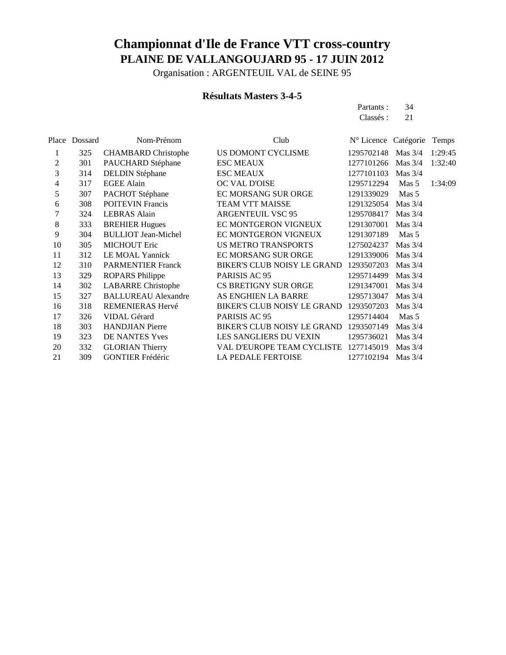Organisation : ARGENTEUIL VAL de SEINE 95

### **Résultats Masters 3-4-5**

Partants : 34 Classés : 21

|    | Place Dossard | Nom-Prénom                 | Club                               | N° Licence Catégorie |           | Temps   |
|----|---------------|----------------------------|------------------------------------|----------------------|-----------|---------|
| 1  | 325           | <b>CHAMBARD</b> Christophe | US DOMONT CYCLISME                 | 1295702148           | Mas $3/4$ | 1:29:45 |
| 2  | 301           | PAUCHARD Stéphane          | <b>ESC MEAUX</b>                   | 1277101266           | Mas $3/4$ | 1:32:40 |
| 3  | 314           | <b>DELDIN Stéphane</b>     | <b>ESC MEAUX</b>                   | 1277101103           | Mas $3/4$ |         |
| 4  | 317           | <b>EGEE Alain</b>          | OC VAL D'OISE                      | 1295712294           | Mas 5     | 1:34:09 |
| 5  | 307           | PACHOT Stéphane            | EC MORSANG SUR ORGE                | 1291339029           | Mas 5     |         |
| 6  | 308           | <b>POITEVIN Francis</b>    | <b>TEAM VTT MAISSE</b>             | 1291325054           | Mas $3/4$ |         |
| 7  | 324           | <b>LEBRAS</b> Alain        | <b>ARGENTEUIL VSC 95</b>           | 1295708417           | Mas $3/4$ |         |
| 8  | 333           | <b>BREHIER Hugues</b>      | EC MONTGERON VIGNEUX               | 1291307001           | Mas $3/4$ |         |
| 9  | 304           | <b>BULLIOT Jean-Michel</b> | EC MONTGERON VIGNEUX               | 1291307189           | Mas 5     |         |
| 10 | 305           | <b>MICHOUT Eric</b>        | <b>US METRO TRANSPORTS</b>         | 1275024237           | Mas $3/4$ |         |
| 11 | 312           | LE MOAL Yannick            | <b>EC MORSANG SUR ORGE</b>         | 1291339006           | Mas $3/4$ |         |
| 12 | 310           | <b>PARMENTIER Franck</b>   | <b>BIKER'S CLUB NOISY LE GRAND</b> | 1293507203           | Mas $3/4$ |         |
| 13 | 329           | <b>ROPARS Philippe</b>     | PARISIS AC 95                      | 1295714499           | Mas $3/4$ |         |
| 14 | 302           | <b>LABARRE</b> Christophe  | <b>CS BRETIGNY SUR ORGE</b>        | 1291347001           | Mas $3/4$ |         |
| 15 | 327           | <b>BALLUREAU Alexandre</b> | AS ENGHIEN LA BARRE                | 1295713047           | Mas $3/4$ |         |
| 16 | 318           | REMENIERAS Hervé           | BIKER'S CLUB NOISY LE GRAND        | 1293507203           | Mas $3/4$ |         |
| 17 | 326           | <b>VIDAL Gérard</b>        | PARISIS AC 95                      | 1295714404           | Mas 5     |         |
| 18 | 303           | <b>HANDJIAN</b> Pierre     | BIKER'S CLUB NOISY LE GRAND        | 1293507149           | Mas $3/4$ |         |
| 19 | 323           | DE NANTES Yves             | LES SANGLIERS DU VEXIN             | 1295736021           | Mas $3/4$ |         |
| 20 | 332           | <b>GLORIAN Thierry</b>     | VAL D'EUROPE TEAM CYCLISTE         | 1277145019           | Mas $3/4$ |         |
| 21 | 309           | <b>GONTIER Frédéric</b>    | <b>LA PEDALE FERTOISE</b>          | 1277102194           | Mas $3/4$ |         |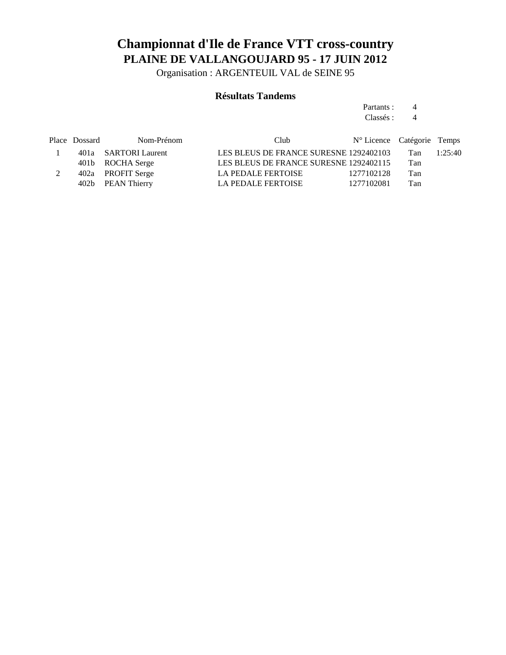Organisation : ARGENTEUIL VAL de SEINE 95

### **Résultats Tandems**

Partants : 4 Classés : 4

| Nom-Prénom | Club.                                                                                               |                                                                                                              |                            |
|------------|-----------------------------------------------------------------------------------------------------|--------------------------------------------------------------------------------------------------------------|----------------------------|
|            |                                                                                                     | Tan                                                                                                          | 1:25:40                    |
|            |                                                                                                     | Tan                                                                                                          |                            |
|            | <b>LA PEDALE FERTOISE</b>                                                                           | Tan                                                                                                          |                            |
|            | LA PEDALE FERTOISE                                                                                  | Tan                                                                                                          |                            |
|            | Place Dossard<br>401a SARTORI Laurent<br>401b ROCHA Serge<br>402a PROFIT Serge<br>402b PEAN Thierry | LES BLEUS DE FRANCE SURESNE 1292402103<br>LES BLEUS DE FRANCE SURESNE 1292402115<br>1277102128<br>1277102081 | N° Licence Catégorie Temps |